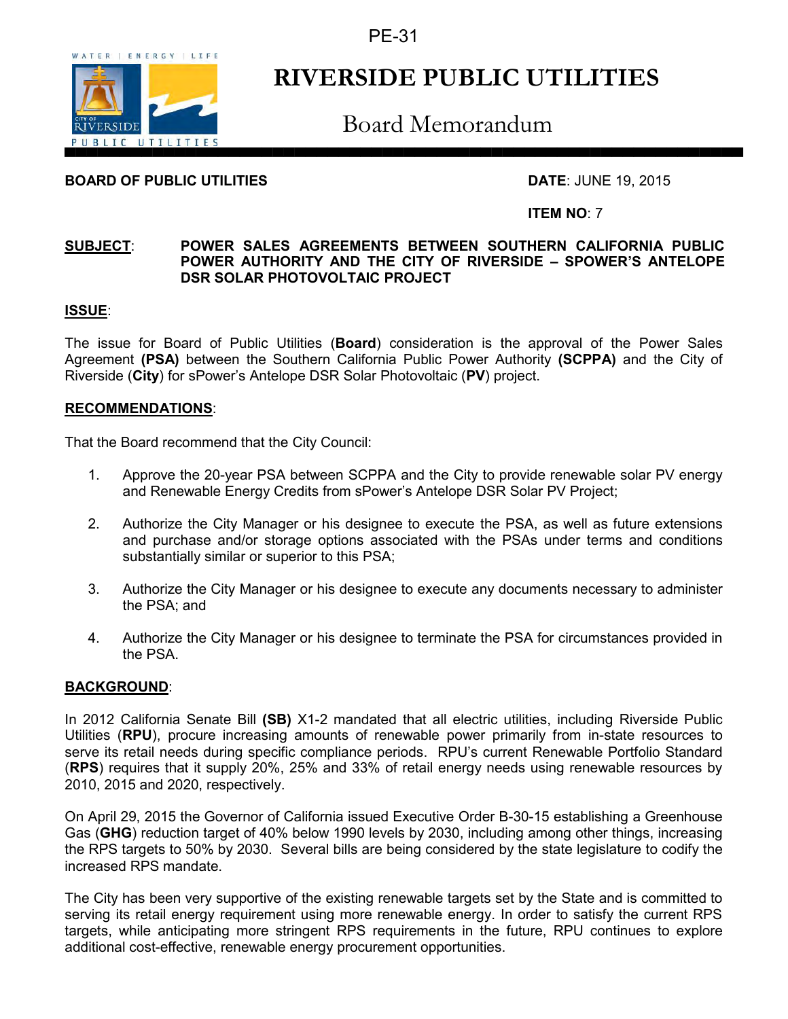PE-31



# **RIVERSIDE PUBLIC UTILITIES**

Board Memorandum

# **BOARD OF PUBLIC UTILITIES DATE**: JUNE 19, 2015

## **ITEM NO**: 7

#### **SUBJECT**: **POWER SALES AGREEMENTS BETWEEN SOUTHERN CALIFORNIA PUBLIC POWER AUTHORITY AND THE CITY OF RIVERSIDE – SPOWER'S ANTELOPE DSR SOLAR PHOTOVOLTAIC PROJECT**

## **ISSUE**:

The issue for Board of Public Utilities (**Board**) consideration is the approval of the Power Sales Agreement **(PSA)** between the Southern California Public Power Authority **(SCPPA)** and the City of Riverside (**City**) for sPower's Antelope DSR Solar Photovoltaic (**PV**) project.

### **RECOMMENDATIONS**:

That the Board recommend that the City Council:

- 1. Approve the 20-year PSA between SCPPA and the City to provide renewable solar PV energy and Renewable Energy Credits from sPower's Antelope DSR Solar PV Project;
- 2. Authorize the City Manager or his designee to execute the PSA, as well as future extensions and purchase and/or storage options associated with the PSAs under terms and conditions substantially similar or superior to this PSA;
- 3. Authorize the City Manager or his designee to execute any documents necessary to administer the PSA; and
- 4. Authorize the City Manager or his designee to terminate the PSA for circumstances provided in the PSA.

### **BACKGROUND**:

In 2012 California Senate Bill **(SB)** X1-2 mandated that all electric utilities, including Riverside Public Utilities (**RPU**), procure increasing amounts of renewable power primarily from in-state resources to serve its retail needs during specific compliance periods. RPU's current Renewable Portfolio Standard (**RPS**) requires that it supply 20%, 25% and 33% of retail energy needs using renewable resources by 2010, 2015 and 2020, respectively.

On April 29, 2015 the Governor of California issued Executive Order B-30-15 establishing a Greenhouse Gas (**GHG**) reduction target of 40% below 1990 levels by 2030, including among other things, increasing the RPS targets to 50% by 2030. Several bills are being considered by the state legislature to codify the increased RPS mandate.

The City has been very supportive of the existing renewable targets set by the State and is committed to serving its retail energy requirement using more renewable energy. In order to satisfy the current RPS targets, while anticipating more stringent RPS requirements in the future, RPU continues to explore additional cost-effective, renewable energy procurement opportunities.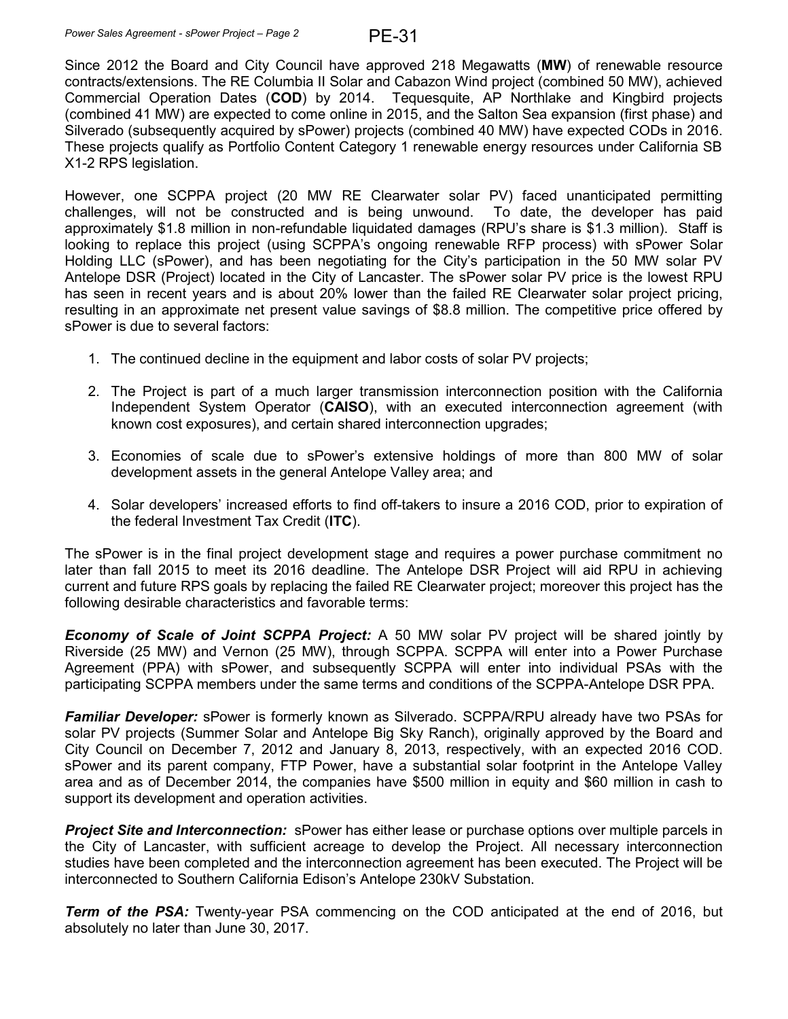Since 2012 the Board and City Council have approved 218 Megawatts (**MW**) of renewable resource contracts/extensions. The RE Columbia II Solar and Cabazon Wind project (combined 50 MW), achieved Commercial Operation Dates (**COD**) by 2014. Tequesquite, AP Northlake and Kingbird projects (combined 41 MW) are expected to come online in 2015, and the Salton Sea expansion (first phase) and Silverado (subsequently acquired by sPower) projects (combined 40 MW) have expected CODs in 2016. These projects qualify as Portfolio Content Category 1 renewable energy resources under California SB X1-2 RPS legislation.

However, one SCPPA project (20 MW RE Clearwater solar PV) faced unanticipated permitting challenges, will not be constructed and is being unwound. To date, the developer has paid approximately \$1.8 million in non-refundable liquidated damages (RPU's share is \$1.3 million). Staff is looking to replace this project (using SCPPA's ongoing renewable RFP process) with sPower Solar Holding LLC (sPower), and has been negotiating for the City's participation in the 50 MW solar PV Antelope DSR (Project) located in the City of Lancaster. The sPower solar PV price is the lowest RPU has seen in recent years and is about 20% lower than the failed RE Clearwater solar project pricing, resulting in an approximate net present value savings of \$8.8 million. The competitive price offered by sPower is due to several factors:

- 1. The continued decline in the equipment and labor costs of solar PV projects;
- 2. The Project is part of a much larger transmission interconnection position with the California Independent System Operator (**CAISO**), with an executed interconnection agreement (with known cost exposures), and certain shared interconnection upgrades;
- 3. Economies of scale due to sPower's extensive holdings of more than 800 MW of solar development assets in the general Antelope Valley area; and
- 4. Solar developers' increased efforts to find off-takers to insure a 2016 COD, prior to expiration of the federal Investment Tax Credit (**ITC**).

The sPower is in the final project development stage and requires a power purchase commitment no later than fall 2015 to meet its 2016 deadline. The Antelope DSR Project will aid RPU in achieving current and future RPS goals by replacing the failed RE Clearwater project; moreover this project has the following desirable characteristics and favorable terms:

*Economy of Scale of Joint SCPPA Project:* A 50 MW solar PV project will be shared jointly by Riverside (25 MW) and Vernon (25 MW), through SCPPA. SCPPA will enter into a Power Purchase Agreement (PPA) with sPower, and subsequently SCPPA will enter into individual PSAs with the participating SCPPA members under the same terms and conditions of the SCPPA-Antelope DSR PPA.

*Familiar Developer:* sPower is formerly known as Silverado. SCPPA/RPU already have two PSAs for solar PV projects (Summer Solar and Antelope Big Sky Ranch), originally approved by the Board and City Council on December 7, 2012 and January 8, 2013, respectively, with an expected 2016 COD. sPower and its parent company, FTP Power, have a substantial solar footprint in the Antelope Valley area and as of December 2014, the companies have \$500 million in equity and \$60 million in cash to support its development and operation activities.

*Project Site and Interconnection:* sPower has either lease or purchase options over multiple parcels in the City of Lancaster, with sufficient acreage to develop the Project. All necessary interconnection studies have been completed and the interconnection agreement has been executed. The Project will be interconnected to Southern California Edison's Antelope 230kV Substation.

**Term of the PSA:** Twenty-year PSA commencing on the COD anticipated at the end of 2016, but absolutely no later than June 30, 2017.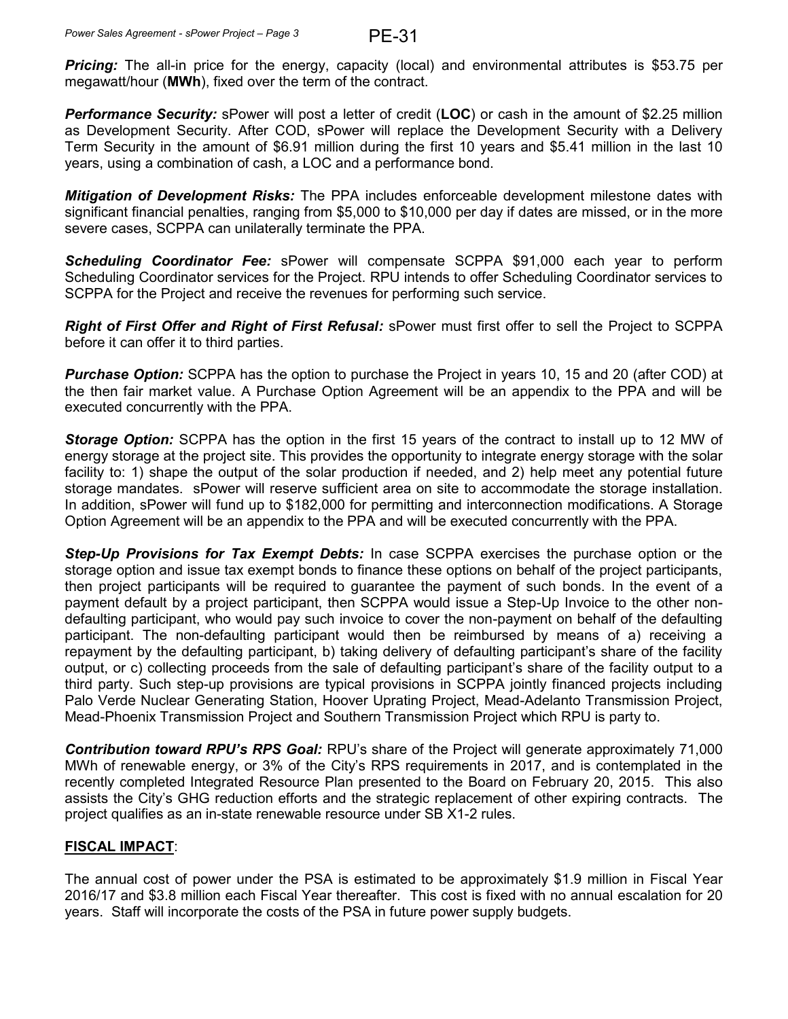**Pricing:** The all-in price for the energy, capacity (local) and environmental attributes is \$53.75 per megawatt/hour (**MWh**), fixed over the term of the contract.

**Performance Security:** sPower will post a letter of credit (LOC) or cash in the amount of \$2.25 million as Development Security. After COD, sPower will replace the Development Security with a Delivery Term Security in the amount of \$6.91 million during the first 10 years and \$5.41 million in the last 10 years, using a combination of cash, a LOC and a performance bond.

*Mitigation of Development Risks:* The PPA includes enforceable development milestone dates with significant financial penalties, ranging from \$5,000 to \$10,000 per day if dates are missed, or in the more severe cases, SCPPA can unilaterally terminate the PPA.

*Scheduling Coordinator Fee:* sPower will compensate SCPPA \$91,000 each year to perform Scheduling Coordinator services for the Project. RPU intends to offer Scheduling Coordinator services to SCPPA for the Project and receive the revenues for performing such service.

*Right of First Offer and Right of First Refusal:* sPower must first offer to sell the Project to SCPPA before it can offer it to third parties.

*Purchase Option:* SCPPA has the option to purchase the Project in years 10, 15 and 20 (after COD) at the then fair market value. A Purchase Option Agreement will be an appendix to the PPA and will be executed concurrently with the PPA.

*Storage Option:* SCPPA has the option in the first 15 years of the contract to install up to 12 MW of energy storage at the project site. This provides the opportunity to integrate energy storage with the solar facility to: 1) shape the output of the solar production if needed, and 2) help meet any potential future storage mandates. sPower will reserve sufficient area on site to accommodate the storage installation. In addition, sPower will fund up to \$182,000 for permitting and interconnection modifications. A Storage Option Agreement will be an appendix to the PPA and will be executed concurrently with the PPA.

*Step-Up Provisions for Tax Exempt Debts:* In case SCPPA exercises the purchase option or the storage option and issue tax exempt bonds to finance these options on behalf of the project participants, then project participants will be required to guarantee the payment of such bonds. In the event of a payment default by a project participant, then SCPPA would issue a Step-Up Invoice to the other nondefaulting participant, who would pay such invoice to cover the non-payment on behalf of the defaulting participant. The non-defaulting participant would then be reimbursed by means of a) receiving a repayment by the defaulting participant, b) taking delivery of defaulting participant's share of the facility output, or c) collecting proceeds from the sale of defaulting participant's share of the facility output to a third party. Such step-up provisions are typical provisions in SCPPA jointly financed projects including Palo Verde Nuclear Generating Station, Hoover Uprating Project, Mead-Adelanto Transmission Project, Mead-Phoenix Transmission Project and Southern Transmission Project which RPU is party to.

*Contribution toward RPU's RPS Goal:* RPU's share of the Project will generate approximately 71,000 MWh of renewable energy, or 3% of the City's RPS requirements in 2017, and is contemplated in the recently completed Integrated Resource Plan presented to the Board on February 20, 2015. This also assists the City's GHG reduction efforts and the strategic replacement of other expiring contracts. The project qualifies as an in-state renewable resource under SB X1-2 rules.

## **FISCAL IMPACT**:

The annual cost of power under the PSA is estimated to be approximately \$1.9 million in Fiscal Year 2016/17 and \$3.8 million each Fiscal Year thereafter. This cost is fixed with no annual escalation for 20 years. Staff will incorporate the costs of the PSA in future power supply budgets.